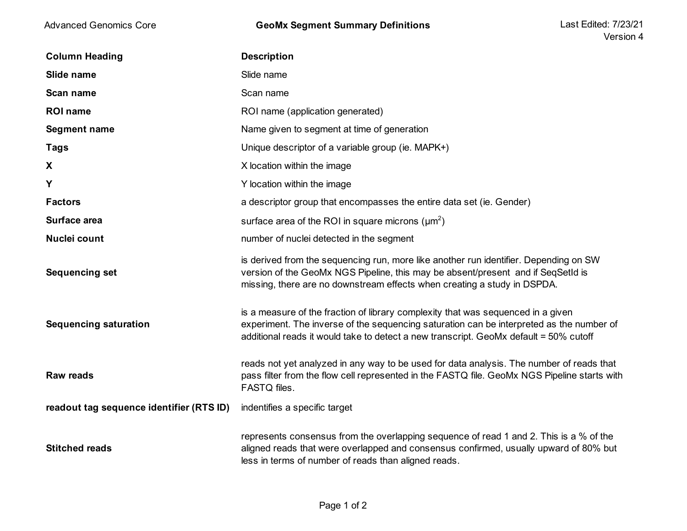| <b>Advanced Genomics Core</b>            | <b>GeoMx Segment Summary Definitions</b>                                                                                                                                                                                                                              | Last Edited: 7/23/21<br>Version 4 |
|------------------------------------------|-----------------------------------------------------------------------------------------------------------------------------------------------------------------------------------------------------------------------------------------------------------------------|-----------------------------------|
| <b>Column Heading</b>                    | <b>Description</b>                                                                                                                                                                                                                                                    |                                   |
| Slide name                               | Slide name                                                                                                                                                                                                                                                            |                                   |
| Scan name                                | Scan name                                                                                                                                                                                                                                                             |                                   |
| <b>ROI</b> name                          | ROI name (application generated)                                                                                                                                                                                                                                      |                                   |
| Segment name                             | Name given to segment at time of generation                                                                                                                                                                                                                           |                                   |
| Tags                                     | Unique descriptor of a variable group (ie. MAPK+)                                                                                                                                                                                                                     |                                   |
| X                                        | X location within the image                                                                                                                                                                                                                                           |                                   |
| Y                                        | Y location within the image                                                                                                                                                                                                                                           |                                   |
| <b>Factors</b>                           | a descriptor group that encompasses the entire data set (ie. Gender)                                                                                                                                                                                                  |                                   |
| Surface area                             | surface area of the ROI in square microns $(\mu m^2)$                                                                                                                                                                                                                 |                                   |
| Nuclei count                             | number of nuclei detected in the segment                                                                                                                                                                                                                              |                                   |
| <b>Sequencing set</b>                    | is derived from the sequencing run, more like another run identifier. Depending on SW<br>version of the GeoMx NGS Pipeline, this may be absent/present and if SeqSetId is<br>missing, there are no downstream effects when creating a study in DSPDA.                 |                                   |
| <b>Sequencing saturation</b>             | is a measure of the fraction of library complexity that was sequenced in a given<br>experiment. The inverse of the sequencing saturation can be interpreted as the number of<br>additional reads it would take to detect a new transcript. GeoMx default = 50% cutoff |                                   |
| <b>Raw reads</b>                         | reads not yet analyzed in any way to be used for data analysis. The number of reads that<br>pass filter from the flow cell represented in the FASTQ file. GeoMx NGS Pipeline starts with<br>FASTQ files.                                                              |                                   |
| readout tag sequence identifier (RTS ID) | indentifies a specific target                                                                                                                                                                                                                                         |                                   |
| <b>Stitched reads</b>                    | represents consensus from the overlapping sequence of read 1 and 2. This is a % of the<br>aligned reads that were overlapped and consensus confirmed, usually upward of 80% but<br>less in terms of number of reads than aligned reads.                               |                                   |